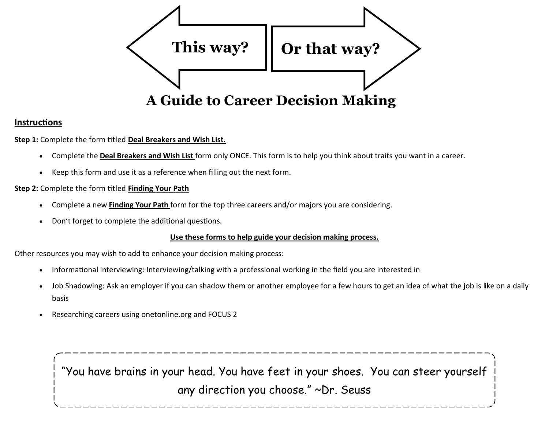

### **Instructions**:

**Step 1:** Complete the form titled **Deal Breakers and Wish List.**

- Complete the **Deal Breakers and Wish List** form only ONCE. This form is to help you think about traits you want in a career.
- Keep this form and use it as a reference when filling out the next form.

#### **Step 2:** Complete the form titled **Finding Your Path**

- Complete a new **Finding Your Path** form for the top three careers and/or majors you are considering.
- Don't forget to complete the additional questions.

#### **Use these forms to help guide your decision making process.**

Other resources you may wish to add to enhance your decision making process:

- Informational interviewing: Interviewing/talking with a professional working in the field you are interested in
- Job Shadowing: Ask an employer if you can shadow them or another employee for a few hours to get an idea of what the job is like on a daily basis
- Researching careers using onetonline.org and FOCUS 2

"You have brains in your head. You have feet in your shoes. You can steer yourself any direction you choose." ~Dr. Seuss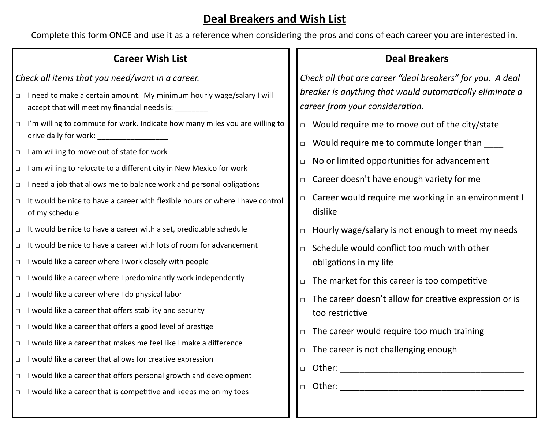# **Deal Breakers and Wish List**

Complete this form ONCE and use it as a reference when considering the pros and cons of each career you are interested in.

### **Career Wish List**

*Check all items that you need/want in a career.*

- □ I need to make a certain amount. My minimum hourly wage/salary I will accept that will meet my financial needs is:
- □ I'm willing to commute for work. Indicate how many miles you are willing to drive daily for work: \_\_\_\_\_\_\_\_\_\_\_\_\_\_\_\_\_
- □ I am willing to move out of state for work
- □ I am willing to relocate to a different city in New Mexico for work
- $\Box$  I need a job that allows me to balance work and personal obligations
- $\Box$  It would be nice to have a career with flexible hours or where I have control of my schedule
- $\Box$  It would be nice to have a career with a set, predictable schedule
- $\Box$  It would be nice to have a career with lots of room for advancement
- □ I would like a career where I work closely with people
- □ I would like a career where I predominantly work independently
- □ I would like a career where I do physical labor
- □ I would like a career that offers stability and security
- □ I would like a career that offers a good level of prestige
- □ I would like a career that makes me feel like I make a difference
- □ I would like a career that allows for creative expression
- □ I would like a career that offers personal growth and development
- $\Box$  I would like a career that is competitive and keeps me on my toes

### **Deal Breakers**

*Check all that are career "deal breakers" for you. A deal breaker is anything that would automatically eliminate a career from your consideration.*

- □ Would require me to move out of the city/state
- □ Would require me to commute longer than
- $\Box$  No or limited opportunities for advancement
- □ Career doesn't have enough variety for me
- □ Career would require me working in an environment I dislike
- $\Box$  Hourly wage/salary is not enough to meet my needs
- $\Box$  Schedule would conflict too much with other obligations in my life
- $\Box$  The market for this career is too competitive
- □ The career doesn't allow for creative expression or is too restrictive
- $\Box$  The career would require too much training
- $\Box$  The career is not challenging enough
- □ Other: \_\_\_\_\_\_\_\_\_\_\_\_\_\_\_\_\_\_\_\_\_\_\_\_\_\_\_\_\_\_\_\_\_\_\_\_\_\_
- $\Box$  Other: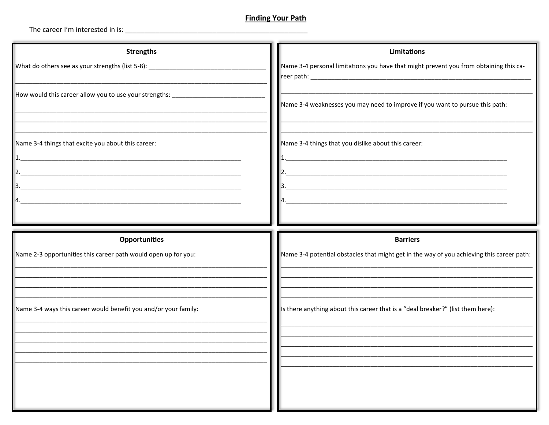### **Finding Your Path**

| <b>Strengths</b>                                                                  | <b>Limitations</b>                                                                        |
|-----------------------------------------------------------------------------------|-------------------------------------------------------------------------------------------|
| What do others see as your strengths (list 5-8): ________________________________ | Name 3-4 personal limitations you have that might prevent you from obtaining this ca-     |
| How would this career allow you to use your strengths: _________________________  |                                                                                           |
|                                                                                   | Name 3-4 weaknesses you may need to improve if you want to pursue this path:              |
|                                                                                   |                                                                                           |
| Name 3-4 things that excite you about this career:                                | Name 3-4 things that you dislike about this career:                                       |
|                                                                                   |                                                                                           |
| 2.<br><u> 1980 - John Stone, Amerikaansk politiker (* 1900)</u>                   | 2.                                                                                        |
|                                                                                   |                                                                                           |
|                                                                                   |                                                                                           |
|                                                                                   |                                                                                           |
|                                                                                   |                                                                                           |
| <b>Opportunities</b>                                                              | <b>Barriers</b>                                                                           |
| Name 2-3 opportunities this career path would open up for you:                    | Name 3-4 potential obstacles that might get in the way of you achieving this career path: |
|                                                                                   |                                                                                           |
|                                                                                   |                                                                                           |
|                                                                                   |                                                                                           |
| Name 3-4 ways this career would benefit you and/or your family:                   | Is there anything about this career that is a "deal breaker?" (list them here):           |
|                                                                                   |                                                                                           |
|                                                                                   |                                                                                           |
|                                                                                   |                                                                                           |
|                                                                                   |                                                                                           |
|                                                                                   |                                                                                           |